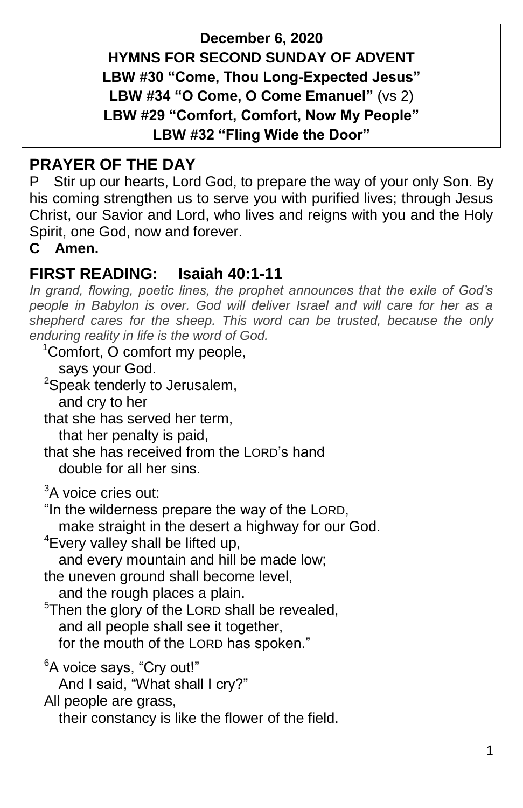**December 6, 2020 HYMNS FOR SECOND SUNDAY OF ADVENT LBW #30 "Come, Thou Long-Expected Jesus" LBW #34 "O Come, O Come Emanuel"** (vs 2) **LBW #29 "Comfort, Comfort, Now My People" LBW #32 "Fling Wide the Door"**

# **PRAYER OF THE DAY**

P Stir up our hearts, Lord God, to prepare the way of your only Son. By his coming strengthen us to serve you with purified lives; through Jesus Christ, our Savior and Lord, who lives and reigns with you and the Holy Spirit, one God, now and forever.

**C Amen.**

## **FIRST READING: Isaiah 40:1-11**

*In grand, flowing, poetic lines, the prophet announces that the exile of God's people in Babylon is over. God will deliver Israel and will care for her as a shepherd cares for the sheep. This word can be trusted, because the only enduring reality in life is the word of God.*

<sup>1</sup>Comfort, O comfort my people,

says your God.

<sup>2</sup>Speak tenderly to Jerusalem,

and cry to her

that she has served her term, that her penalty is paid,

that she has received from the LORD's hand double for all her sins.

<sup>3</sup>A voice cries out:

"In the wilderness prepare the way of the LORD,

make straight in the desert a highway for our God.

<sup>4</sup>Every valley shall be lifted up,

and every mountain and hill be made low;

the uneven ground shall become level,

and the rough places a plain.

 $5$ Then the glory of the LORD shall be revealed, and all people shall see it together, for the mouth of the LORD has spoken."

<sup>6</sup>A voice says, "Cry out!"

And I said, "What shall I cry?"

All people are grass,

their constancy is like the flower of the field.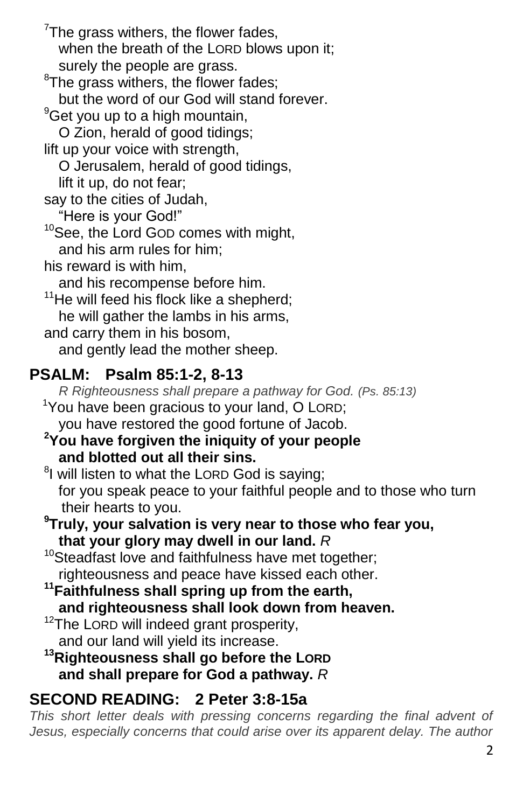$7$ The grass withers, the flower fades, when the breath of the LORD blows upon it: surely the people are grass. <sup>8</sup>The grass withers, the flower fades; but the word of our God will stand forever.  $9^9$ Get you up to a high mountain, O Zion, herald of good tidings; lift up your voice with strength, O Jerusalem, herald of good tidings, lift it up, do not fear; say to the cities of Judah, "Here is your God!" <sup>10</sup>See, the Lord GOD comes with might, and his arm rules for him; his reward is with him, and his recompense before him.  $11$ He will feed his flock like a shepherd; he will gather the lambs in his arms, and carry them in his bosom, and gently lead the mother sheep.

# **PSALM: Psalm 85:1-2, 8-13**

 *R Righteousness shall prepare a pathway for God. (Ps. 85:13)* <sup>1</sup>You have been gracious to your land, O LORD; you have restored the good fortune of Jacob.

### **<sup>2</sup>You have forgiven the iniquity of your people and blotted out all their sins.**

<sup>8</sup>I will listen to what the LORD God is saying; for you speak peace to your faithful people and to those who turn their hearts to you.

#### **<sup>9</sup>Truly, your salvation is very near to those who fear you, that your glory may dwell in our land.** *R*

<sup>10</sup>Steadfast love and faithfulness have met together; righteousness and peace have kissed each other.

**<sup>11</sup>Faithfulness shall spring up from the earth, and righteousness shall look down from heaven.**

<sup>12</sup>The LORD will indeed grant prosperity, and our land will yield its increase.

#### **<sup>13</sup>Righteousness shall go before the LORD and shall prepare for God a pathway.** *R*

# **SECOND READING: 2 Peter 3:8-15a**

This short letter deals with pressing concerns regarding the final advent of Jesus, especially concerns that could arise over its apparent delay. The author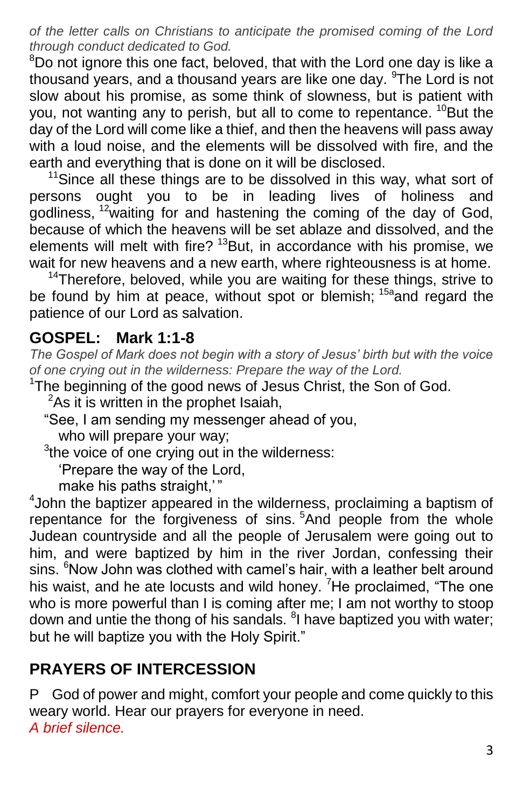*of the letter calls on Christians to anticipate the promised coming of the Lord through conduct dedicated to God.*

 $8$ Do not ignore this one fact, beloved, that with the Lord one day is like a thousand years, and a thousand years are like one day. <sup>9</sup>The Lord is not slow about his promise, as some think of slowness, but is patient with you, not wanting any to perish, but all to come to repentance.  $^{10}$ But the day of the Lord will come like a thief, and then the heavens will pass away with a loud noise, and the elements will be dissolved with fire, and the earth and everything that is done on it will be disclosed.

 $11$ Since all these things are to be dissolved in this way, what sort of persons ought you to be in leading lives of holiness and godliness,  $12$  waiting for and hastening the coming of the day of God, because of which the heavens will be set ablaze and dissolved, and the elements will melt with fire?  $13$ But, in accordance with his promise, we wait for new heavens and a new earth, where righteousness is at home.

 $14$ Therefore, beloved, while you are waiting for these things, strive to be found by him at peace, without spot or blemish; <sup>15a</sup>and regard the patience of our Lord as salvation.

## **GOSPEL: Mark 1:1-8**

*The Gospel of Mark does not begin with a story of Jesus' birth but with the voice of one crying out in the wilderness: Prepare the way of the Lord.*

- <sup>1</sup>The beginning of the good news of Jesus Christ, the Son of God.
	- $2$ As it is written in the prophet Isaiah,
	- "See, I am sending my messenger ahead of you,
	- who will prepare your way;
	- $3$ the voice of one crying out in the wilderness:
		- 'Prepare the way of the Lord,
		- make his paths straight,"

4 John the baptizer appeared in the wilderness, proclaiming a baptism of repentance for the forgiveness of sins.<sup>5</sup>And people from the whole Judean countryside and all the people of Jerusalem were going out to him, and were baptized by him in the river Jordan, confessing their sins. <sup>6</sup>Now John was clothed with camel's hair, with a leather belt around his waist, and he ate locusts and wild honey. <sup>7</sup>He proclaimed, "The one who is more powerful than I is coming after me; I am not worthy to stoop down and untie the thong of his sandals. <sup>8</sup>I have baptized you with water; but he will baptize you with the Holy Spirit."

## **PRAYERS OF INTERCESSION**

P God of power and might, comfort your people and come quickly to this weary world. Hear our prayers for everyone in need. *A brief silence.*